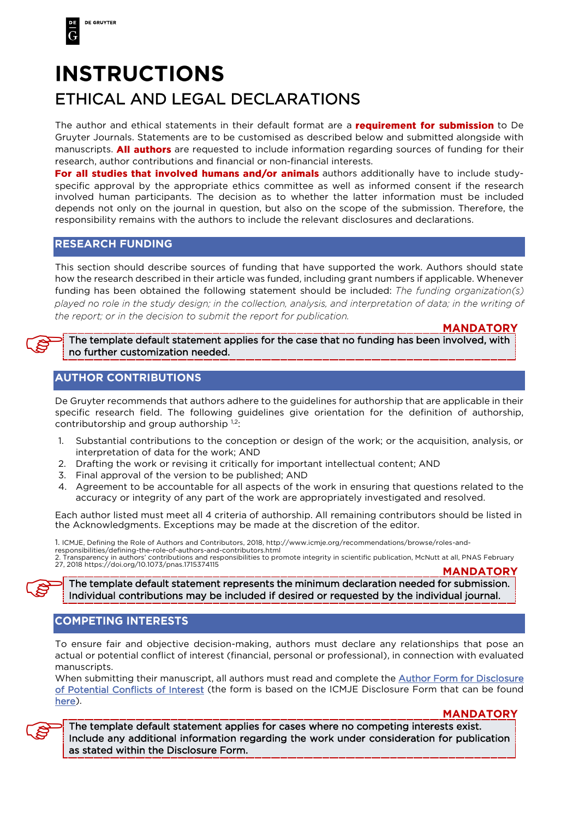# **INSTRUCTIONS** ETHICAL AND LEGAL DECLARATIONS

The author and ethical statements in their default format are a **requirement for submission** to De Gruyter Journals. Statements are to be customised as described below and submitted alongside with manuscripts. **All authors** are requested to include information regarding sources of funding for their research, author contributions and financial or non-financial interests.

For all studies that involved humans and/or animals authors additionally have to include studyspecific approval by the appropriate ethics committee as well as informed consent if the research involved human participants. The decision as to whether the latter information must be included depends not only on the journal in question, but also on the scope of the submission. Therefore, the responsibility remains with the authors to include the relevant disclosures and declarations.

### **RESEARCH FUNDING**

This section should describe sources of funding that have supported the work. Authors should state how the research described in their article was funded, including grant numbers if applicable. Whenever funding has been obtained the following statement should be included: The funding organization(s) played no role in the study design; in the collection, analysis, and interpretation of data; in the writing of the report; or in the decision to submit the report for publication.

#### **MANDATORY**

 $\begin{picture}(20,20) \put(0,0){\line(1,0){155}} \put(15,0){\line(1,0){155}} \put(15,0){\line(1,0){155}} \put(15,0){\line(1,0){155}} \put(15,0){\line(1,0){155}} \put(15,0){\line(1,0){155}} \put(15,0){\line(1,0){155}} \put(15,0){\line(1,0){155}} \put(15,0){\line(1,0){155}} \put(15,0){\line(1,0){155}} \put(15,0){\line(1,0){155}} \$ The template default statement applies for the case that no funding has been involved, with no further customization needed.

## 

De Gruyter recommends that authors adhere to the guidelines for authorship that are applicable in their specific research field. The following guidelines give orientation for the definition of authorship, contributorship and group authorship 1,2:

- 1. Substantial contributions to the conception or design of the work; or the acquisition, analysis, or interpretation of data for the work; AND
- 2. Drafting the work or revising it critically for important intellectual content; AND
- 3. Final approval of the version to be published; AND
- 4. Agreement to be accountable for all aspects of the work in ensuring that questions related to the accuracy or integrity of any part of the work are appropriately investigated and resolved.

Each author listed must meet all 4 criteria of authorship. All remaining contributors should be listed in the Acknowledgments. Exceptions may be made at the discretion of the editor.

1. ICMJE, Defining the Role of Authors and Contributors, 2018, http://www.icmje.org/recommendations/browse/roles-andresponsibilities/defining-the-role-of-authors-and-contributors.html

2. Transparency in authors' contributions and responsibilities to promote integrity in scientific publication, McNutt at all, PNAS February 27, 2018 https://doi.org/10.1073/pnas.1715374115 **MANDATORY** 

 $\begin{picture}(20,20) \put(0,0){\line(1,0){155}} \put(15,0){\line(1,0){155}} \put(15,0){\line(1,0){155}} \put(15,0){\line(1,0){155}} \put(15,0){\line(1,0){155}} \put(15,0){\line(1,0){155}} \put(15,0){\line(1,0){155}} \put(15,0){\line(1,0){155}} \put(15,0){\line(1,0){155}} \put(15,0){\line(1,0){155}} \put(15,0){\line(1,0){155}} \$ The template default statement represents the minimum declaration needed for submission. Individual contributions may be included if desired or requested by the individual journal.

To ensure fair and objective decision-making, authors must declare any relationships that pose an actual or potential conflict of interest (financial, personal or professional), in connection with evaluated manuscripts.

When submitting their manuscript, all authors must read and complete the [Author Form for Disclosure](https://www.degruyter.com/view/supplement/s21910286_Author_Form_for_Disclosure_of_Potential_Conflicts_of_Interest.pdf)  [of Potential Conflicts of Interest](https://www.degruyter.com/view/supplement/s21910286_Author_Form_for_Disclosure_of_Potential_Conflicts_of_Interest.pdf) (the form is based on the ICMJE Disclosure Form that can be found [here\)](http://www.icmje.org/conflicts-of-interest/).

**MANDATORY** 

The template default statement applies for cases where no competing interests exist. Include any additional information regarding the work under consideration for publication as stated within the Disclosure Form.